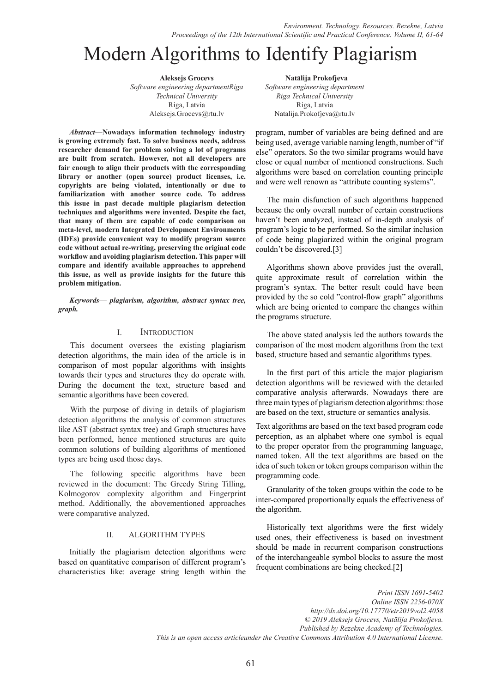# Modern Algorithms to Identify Plagiarism

**Aleksejs Grocevs** *Software engineering departmentRiga Technical University* Riga, Latvia Aleksejs.Grocevs@rtu.lv

*Abstract***—Nowadays information technology industry is growing extremely fast. To solve business needs, address researcher demand for problem solving a lot of programs are built from scratch. However, not all developers are fair enough to align their products with the corresponding library or another (open source) product licenses, i.e. copyrights are being violated, intentionally or due to familiarization with another source code. To address this issue in past decade multiple plagiarism detection techniques and algorithms were invented. Despite the fact, that many of them are capable of code comparison on meta-level, modern Integrated Development Environments (IDEs) provide convenient way to modify program source code without actual re-writing, preserving the original code workflow and avoiding plagiarism detection. This paper will compare and identify available approaches to apprehend this issue, as well as provide insights for the future this problem mitigation.**

*Keywords— plagiarism, algorithm, abstract syntax tree, graph.*

## I. Introduction

This document oversees the existing plagiarism detection algorithms, the main idea of the article is in comparison of most popular algorithms with insights towards their types and structures they do operate with. During the document the text, structure based and semantic algorithms have been covered.

With the purpose of diving in details of plagiarism detection algorithms the analysis of common structures like AST (abstract syntax tree) and Graph structures have been performed, hence mentioned structures are quite common solutions of building algorithms of mentioned types are being used those days.

The following specific algorithms have been reviewed in the document: The Greedy String Tilling, Kolmogorov complexity algorithm and Fingerprint method. Additionally, the abovementioned approaches were comparative analyzed.

### II. ALGORITHM TYPES

Initially the plagiarism detection algorithms were based on quantitative comparison of different program's characteristics like: average string length within the

**. Natālija Prokofjeva** *Software engineering department Riga Technical University* Riga, Latvia Natalija.Prokofjeva@rtu.lv

program, number of variables are being defined and are being used, average variable naming length, number of "if else" operators. So the two similar programs would have close or equal number of mentioned constructions. Such algorithms were based on correlation counting principle and were well renown as "attribute counting systems".

The main disfunction of such algorithms happened because the only overall number of certain constructions haven't been analyzed, instead of in-depth analysis of program's logic to be performed. So the similar inclusion of code being plagiarized within the original program couldn't be discovered.[3]

Algorithms shown above provides just the overall, quite approximate result of correlation within the program's syntax. The better result could have been provided by the so cold "control-flow graph" algorithms which are being oriented to compare the changes within the programs structure.

 The above stated analysis led the authors towards the comparison of the most modern algorithms from the text based, structure based and semantic algorithms types.

In the first part of this article the major plagiarism detection algorithms will be reviewed with the detailed comparative analysis afterwards. Nowadays there are three main types of plagiarism detection algorithms: those are based on the text, structure or semantics analysis.

Text algorithms are based on the text based program code perception, as an alphabet where one symbol is equal to the proper operator from the programming language, named token. All the text algorithms are based on the idea of such token or token groups comparison within the programming code.

Granularity of the token groups within the code to be inter-compared proportionally equals the effectiveness of the algorithm.

Historically text algorithms were the first widely used ones, their effectiveness is based on investment should be made in recurrent comparison constructions of the interchangeable symbol blocks to assure the most frequent combinations are being checked.[2]

*Print ISSN 1691-5402*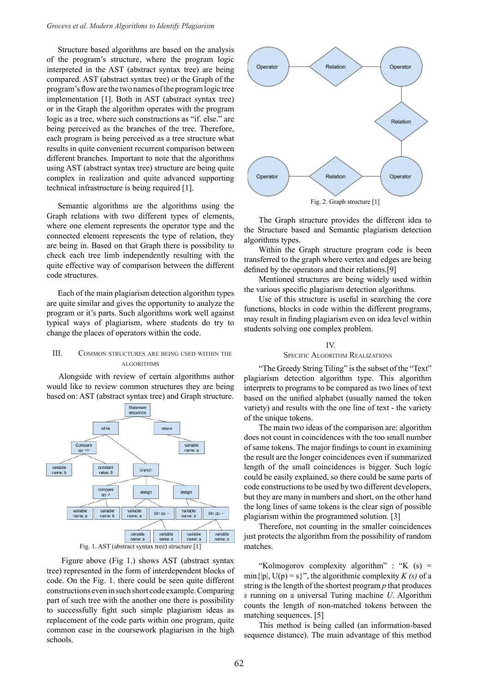Structure based algorithms are based on the analysis of the program's structure, where the program logic interpreted in the AST (abstract syntax tree) are being compared. AST (abstract syntax tree) or the Graph of the program's flow are the two names of the program logic tree implementation [1]. Both in AST (abstract syntax tree) or in the Graph the algorithm operates with the program logic as a tree, where such constructions as "if. else." are being perceived as the branches of the tree. Therefore, each program is being perceived as a tree structure what results in quite convenient recurrent comparison between different branches. Important to note that the algorithms using AST (abstract syntax tree) structure are being quite complex in realization and quite advanced supporting technical infrastructure is being required [1].

Semantic algorithms are the algorithms using the Graph relations with two different types of elements, where one element represents the operator type and the connected element represents the type of relation, they are being in. Based on that Graph there is possibility to check each tree limb independently resulting with the quite effective way of comparison between the different code structures.

Each of the main plagiarism detection algorithm types are quite similar and gives the opportunity to analyze the program or it's parts. Such algorithms work well against typical ways of plagiarism, where students do try to change the places of operators within the code.

#### III. Common structures are being used within the algorithms

Alongside with review of certain algorithms author would like to review common structures they are being based on: AST (abstract syntax tree) and Graph structure.



Fig. 1. AST (abstract syntax tree) structure [1]

Figure above (Fig 1.) shows AST (abstract syntax tree) represented in the form of interdependent blocks of code. On the Fig. 1. there could be seen quite different constructions even in such short code example. Comparing part of such tree with the another one there is possibility to successfully fight such simple plagiarism ideas as replacement of the code parts within one program, quite common case in the coursework plagiarism in the high schools.



The Graph structure provides the different idea to the Structure based and Semantic plagiarism detection algorithms types.

Within the Graph structure program code is been transferred to the graph where vertex and edges are being defined by the operators and their relations.[9]

Mentioned structures are being widely used within the various specific plagiarism detection algorithms.

Use of this structure is useful in searching the core functions, blocks in code within the different programs, may result in finding plagiarism even on idea level within students solving one complex problem.

# IV. Specific Algorithm Realizations

"The Greedy String Tiling" is the subset of the "Text" plagiarism detection algorithm type. This algorithm interprets to programs to be compared as two lines of text based on the unified alphabet (usually named the token variety) and results with the one line of text - the variety of the unique tokens.

The main two ideas of the comparison are: algorithm does not count in coincidences with the too small number of same tokens. The major findings to count in examining the result are the longer coincidences even if summarized length of the small coincidences is bigger. Such logic could be easily explained, so there could be same parts of code constructions to be used by two different developers, but they are many in numbers and short, on the other hand the long lines of same tokens is the clear sign of possible plagiarism within the programmed solution. [3]

Therefore, not counting in the smaller coincidences just protects the algorithm from the possibility of random matches.

"Kolmogorov complexity algorithm" : "K  $(s)$  = min{ $|p|$ ,  $U(p) = s$ }", the algorithmic complexity *K (s)* of a string is the length of the shortest program *p* that produces *s* running on a universal Turing machine *U*. Algorithm counts the length of non-matched tokens between the matching sequences. [5]

This method is being called (an information-based sequence distance). The main advantage of this method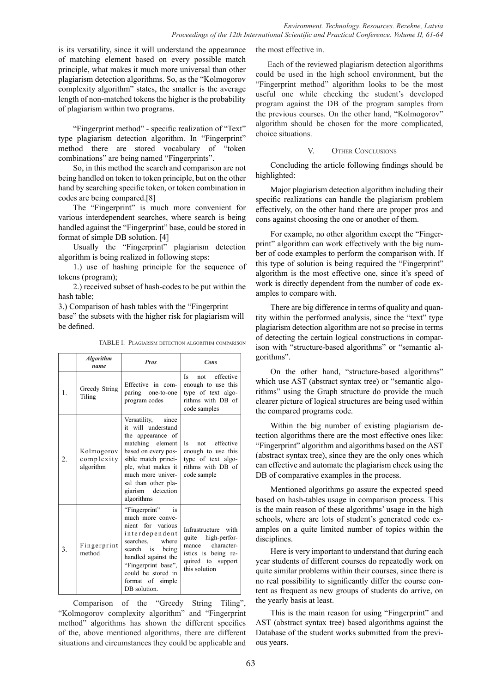is its versatility, since it will understand the appearance of matching element based on every possible match principle, what makes it much more universal than other plagiarism detection algorithms. So, as the "Kolmogorov complexity algorithm" states, the smaller is the average length of non-matched tokens the higher is the probability of plagiarism within two programs.

"Fingerprint method" - specific realization of "Text" type plagiarism detection algorithm. In "Fingerprint" method there are stored vocabulary of "token combinations" are being named "Fingerprints".

So, in this method the search and comparison are not being handled on token to token principle, but on the other hand by searching specific token, or token combination in codes are being compared.[8]

The "Fingerprint" is much more convenient for various interdependent searches, where search is being handled against the "Fingerprint" base, could be stored in format of simple DB solution. [4]

Usually the "Fingerprint" plagiarism detection algorithm is being realized in following steps:

1.) use of hashing principle for the sequence of tokens (program);

2.) received subset of hash-codes to be put within the hash table;

3.) Comparison of hash tables with the "Fingerprint

base" the subsets with the higher risk for plagiarism will be defined.

|                | <b>Algorithm</b><br>name              | <b>Pros</b>                                                                                                                                                                                                                             | Cons                                                                                                                             |
|----------------|---------------------------------------|-----------------------------------------------------------------------------------------------------------------------------------------------------------------------------------------------------------------------------------------|----------------------------------------------------------------------------------------------------------------------------------|
| $\mathbf{1}$ . | Greedy String<br>Tiling               | Effective in com-<br>paring<br>one-to-one<br>program codes                                                                                                                                                                              | effective<br>Is<br>not<br>enough to use this<br>type of text algo-<br>rithms with DB of<br>code samples                          |
| 2.             | Kolmogorov<br>complexity<br>algorithm | Versatility,<br>since<br>it will understand<br>the appearance of<br>matching element<br>based on every pos-<br>sible match princi-<br>ple, what makes it<br>much more univer-<br>sal than other pla-<br>giarism detection<br>algorithms | not effective<br>Is<br>enough to use this<br>type of text algo-<br>rithms with DB of<br>code sample                              |
| 3.             | Fingerprint<br>method                 | "Fingerprint"<br>is<br>much more conve-<br>nient for various<br>interdependent<br>searches.<br>where<br>search is being<br>handled against the<br>"Fingerprint base",<br>could be stored in<br>format of simple<br>DB solution.         | Infrastructure with<br>high-perfor-<br>quite<br>character-<br>mance<br>istics is being re-<br>quired to support<br>this solution |

TABLE I. Plagiarism detection algorithm comparison

Comparison of the "Greedy String Tiling", "Kolmogorov complexity algorithm" and "Fingerprint method" algorithms has shown the different specifics of the, above mentioned algorithms, there are different situations and circumstances they could be applicable and the most effective in.

Each of the reviewed plagiarism detection algorithms could be used in the high school environment, but the "Fingerprint method" algorithm looks to be the most useful one while checking the student's developed program against the DB of the program samples from the previous courses. On the other hand, "Kolmogorov" algorithm should be chosen for the more complicated, choice situations.

## V. OTHER CONCLUSIONS

Concluding the article following findings should be highlighted:

Major plagiarism detection algorithm including their specific realizations can handle the plagiarism problem effectively, on the other hand there are proper pros and cons against choosing the one or another of them.

For example, no other algorithm except the "Fingerprint" algorithm can work effectively with the big number of code examples to perform the comparison with. If this type of solution is being required the "Fingerprint" algorithm is the most effective one, since it's speed of work is directly dependent from the number of code examples to compare with.

There are big difference in terms of quality and quantity within the performed analysis, since the "text" type plagiarism detection algorithm are not so precise in terms of detecting the certain logical constructions in comparison with "structure-based algorithms" or "semantic algorithms".

On the other hand, "structure-based algorithms" which use AST (abstract syntax tree) or "semantic algorithms" using the Graph structure do provide the much clearer picture of logical structures are being used within the compared programs code.

Within the big number of existing plagiarism detection algorithms there are the most effective ones like: "Fingerprint" algorithm and algorithms based on the AST (abstract syntax tree), since they are the only ones which can effective and automate the plagiarism check using the DB of comparative examples in the process.

Mentioned algorithms go assure the expected speed based on hash-tables usage in comparison process. This is the main reason of these algorithms' usage in the high schools, where are lots of student's generated code examples on a quite limited number of topics within the disciplines.

Here is very important to understand that during each year students of different courses do repeatedly work on quite similar problems within their courses, since there is no real possibility to significantly differ the course content as frequent as new groups of students do arrive, on the yearly basis at least.

This is the main reason for using "Fingerprint" and AST (abstract syntax tree) based algorithms against the Database of the student works submitted from the previous years.